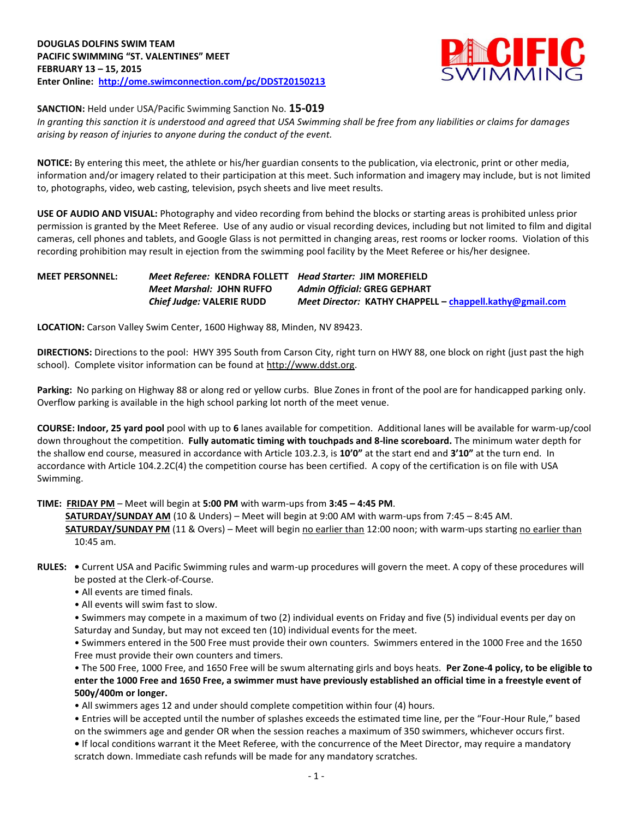

**SANCTION:** Held under USA/Pacific Swimming Sanction No. **15-019**

*In granting this sanction it is understood and agreed that USA Swimming shall be free from any liabilities or claims for damages arising by reason of injuries to anyone during the conduct of the event.*

**NOTICE:** By entering this meet, the athlete or his/her guardian consents to the publication, via electronic, print or other media, information and/or imagery related to their participation at this meet. Such information and imagery may include, but is not limited to, photographs, video, web casting, television, psych sheets and live meet results.

**USE OF AUDIO AND VISUAL:** Photography and video recording from behind the blocks or starting areas is prohibited unless prior permission is granted by the Meet Referee. Use of any audio or visual recording devices, including but not limited to film and digital cameras, cell phones and tablets, and Google Glass is not permitted in changing areas, rest rooms or locker rooms. Violation of this recording prohibition may result in ejection from the swimming pool facility by the Meet Referee or his/her designee.

## **MEET PERSONNEL:** *Meet Referee:* **KENDRA FOLLETT** *Head Starter:* **JIM MOREFIELD** *Meet Marshal:* **JOHN RUFFO** *Admin Official:* **GREG GEPHART** *Chief Judge:* **VALERIE RUDD** *Meet Director:* **KATHY CHAPPELL – [chappell.kathy@gmail.com](mailto:chappell.kathy@gmail.com)**

**LOCATION:** Carson Valley Swim Center, 1600 Highway 88, Minden, NV 89423.

**DIRECTIONS:** Directions to the pool: HWY 395 South from Carson City, right turn on HWY 88, one block on right (just past the high school). Complete visitor information can be found at [http://www.ddst.org.](http://www.ddst.org/)

**Parking:** No parking on Highway 88 or along red or yellow curbs. Blue Zones in front of the pool are for handicapped parking only. Overflow parking is available in the high school parking lot north of the meet venue.

**COURSE: Indoor, 25 yard pool** pool with up to **6** lanes available for competition.Additional lanes will be available for warm-up/cool down throughout the competition. **Fully automatic timing with touchpads and 8-line scoreboard.** The minimum water depth for the shallow end course, measured in accordance with Article 103.2.3, is **10'0"** at the start end and **3'10"** at the turn end. In accordance with Article 104.2.2C(4) the competition course has been certified. A copy of the certification is on file with USA Swimming.

**TIME: FRIDAY PM** – Meet will begin at **5:00 PM** with warm-ups from **3:45 – 4:45 PM**.

 **SATURDAY/SUNDAY AM** (10 & Unders) – Meet will begin at 9:00 AM with warm-ups from 7:45 – 8:45 AM. **SATURDAY/SUNDAY PM** (11 & Overs) – Meet will begin no earlier than 12:00 noon; with warm-ups starting no earlier than 10:45 am.

- **RULES:** Current USA and Pacific Swimming rules and warm-up procedures will govern the meet. A copy of these procedures will be posted at the Clerk-of-Course.
	- All events are timed finals.
	- All events will swim fast to slow.
	- Swimmers may compete in a maximum of two (2) individual events on Friday and five (5) individual events per day on Saturday and Sunday, but may not exceed ten (10) individual events for the meet.

• Swimmers entered in the 500 Free must provide their own counters. Swimmers entered in the 1000 Free and the 1650 Free must provide their own counters and timers.

• The 500 Free, 1000 Free, and 1650 Free will be swum alternating girls and boys heats. **Per Zone-4 policy, to be eligible to enter the 1000 Free and 1650 Free, a swimmer must have previously established an official time in a freestyle event of 500y/400m or longer.**

• All swimmers ages 12 and under should complete competition within four (4) hours.

• Entries will be accepted until the number of splashes exceeds the estimated time line, per the "Four-Hour Rule," based on the swimmers age and gender OR when the session reaches a maximum of 350 swimmers, whichever occurs first.

**•** If local conditions warrant it the Meet Referee, with the concurrence of the Meet Director, may require a mandatory scratch down. Immediate cash refunds will be made for any mandatory scratches.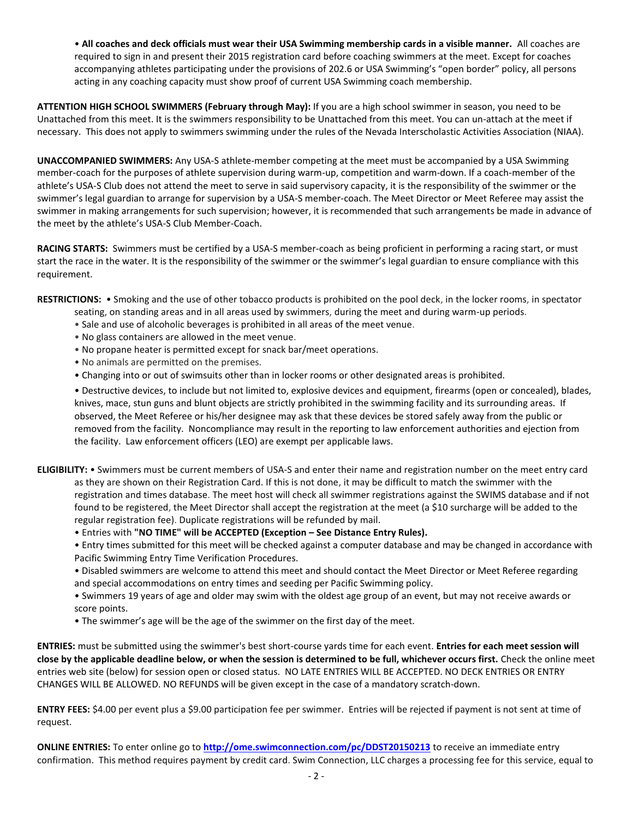• **All coaches and deck officials must wear their USA Swimming membership cards in a visible manner.** All coaches are required to sign in and present their 2015 registration card before coaching swimmers at the meet. Except for coaches accompanying athletes participating under the provisions of 202.6 or USA Swimming's "open border" policy, all persons acting in any coaching capacity must show proof of current USA Swimming coach membership.

**ATTENTION HIGH SCHOOL SWIMMERS (February through May):** If you are a high school swimmer in season, you need to be Unattached from this meet. It is the swimmers responsibility to be Unattached from this meet. You can un-attach at the meet if necessary. This does not apply to swimmers swimming under the rules of the Nevada Interscholastic Activities Association (NIAA).

**UNACCOMPANIED SWIMMERS:** Any USA-S athlete-member competing at the meet must be accompanied by a USA Swimming member-coach for the purposes of athlete supervision during warm-up, competition and warm-down. If a coach-member of the athlete's USA-S Club does not attend the meet to serve in said supervisory capacity, it is the responsibility of the swimmer or the swimmer's legal guardian to arrange for supervision by a USA-S member-coach. The Meet Director or Meet Referee may assist the swimmer in making arrangements for such supervision; however, it is recommended that such arrangements be made in advance of the meet by the athlete's USA-S Club Member-Coach.

**RACING STARTS:** Swimmers must be certified by a USA-S member-coach as being proficient in performing a racing start, or must start the race in the water. It is the responsibility of the swimmer or the swimmer's legal guardian to ensure compliance with this requirement.

**RESTRICTIONS:** • Smoking and the use of other tobacco products is prohibited on the pool deck, in the locker rooms, in spectator seating, on standing areas and in all areas used by swimmers, during the meet and during warm-up periods.

- Sale and use of alcoholic beverages is prohibited in all areas of the meet venue.
- No glass containers are allowed in the meet venue.
- No propane heater is permitted except for snack bar/meet operations.
- No animals are permitted on the premises.
- Changing into or out of swimsuits other than in locker rooms or other designated areas is prohibited.

• Destructive devices, to include but not limited to, explosive devices and equipment, firearms (open or concealed), blades, knives, mace, stun guns and blunt objects are strictly prohibited in the swimming facility and its surrounding areas. If observed, the Meet Referee or his/her designee may ask that these devices be stored safely away from the public or removed from the facility. Noncompliance may result in the reporting to law enforcement authorities and ejection from the facility. Law enforcement officers (LEO) are exempt per applicable laws.

**ELIGIBILITY:** • Swimmers must be current members of USA-S and enter their name and registration number on the meet entry card as they are shown on their Registration Card. If this is not done, it may be difficult to match the swimmer with the registration and times database. The meet host will check all swimmer registrations against the SWIMS database and if not found to be registered, the Meet Director shall accept the registration at the meet (a \$10 surcharge will be added to the regular registration fee). Duplicate registrations will be refunded by mail.

• Entries with **"NO TIME" will be ACCEPTED (Exception – See Distance Entry Rules).**

• Entry times submitted for this meet will be checked against a computer database and may be changed in accordance with Pacific Swimming Entry Time Verification Procedures.

- Disabled swimmers are welcome to attend this meet and should contact the Meet Director or Meet Referee regarding and special accommodations on entry times and seeding per Pacific Swimming policy.
- Swimmers 19 years of age and older may swim with the oldest age group of an event, but may not receive awards or score points.
- The swimmer's age will be the age of the swimmer on the first day of the meet.

**ENTRIES:** must be submitted using the swimmer's best short-course yards time for each event. **Entries for each meet session will close by the applicable deadline below, or when the session is determined to be full, whichever occurs first.** Check the online meet entries web site (below) for session open or closed status. NO LATE ENTRIES WILL BE ACCEPTED. NO DECK ENTRIES OR ENTRY CHANGES WILL BE ALLOWED. NO REFUNDS will be given except in the case of a mandatory scratch-down.

**ENTRY FEES:** \$4.00 per event plus a \$9.00 participation fee per swimmer. Entries will be rejected if payment is not sent at time of request.

**ONLINE ENTRIES:** To enter online go to **<http://ome.swimconnection.com/pc/DDST20150213>** to receive an immediate entry confirmation. This method requires payment by credit card. Swim Connection, LLC charges a processing fee for this service, equal to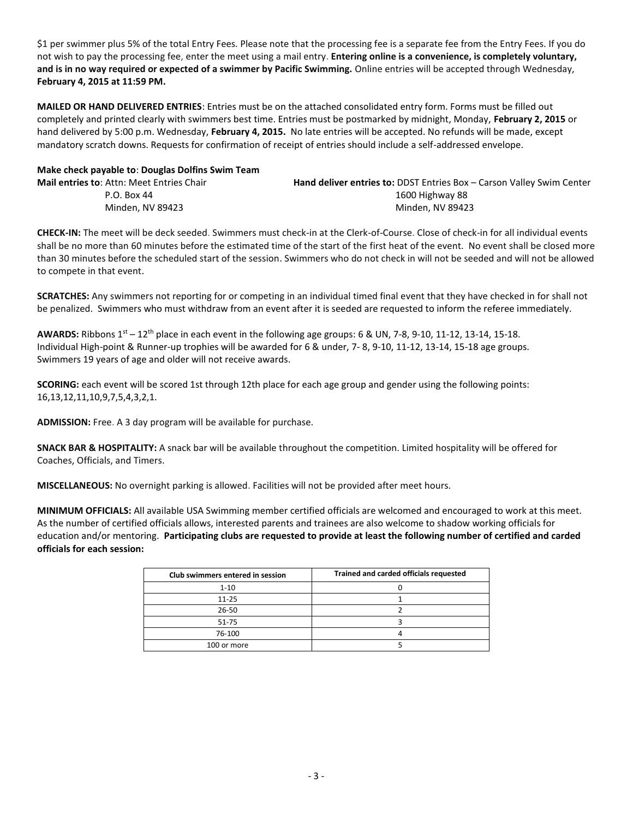\$1 per swimmer plus 5% of the total Entry Fees. Please note that the processing fee is a separate fee from the Entry Fees. If you do not wish to pay the processing fee, enter the meet using a mail entry. **Entering online is a convenience, is completely voluntary, and is in no way required or expected of a swimmer by Pacific Swimming.** Online entries will be accepted through Wednesday, **February 4, 2015 at 11:59 PM.**

**MAILED OR HAND DELIVERED ENTRIES**: Entries must be on the attached consolidated entry form. Forms must be filled out completely and printed clearly with swimmers best time. Entries must be postmarked by midnight, Monday, **February 2, 2015** or hand delivered by 5:00 p.m. Wednesday, **February 4, 2015.** No late entries will be accepted. No refunds will be made, except mandatory scratch downs. Requests for confirmation of receipt of entries should include a self-addressed envelope.

**Make check payable to**: **Douglas Dolfins Swim Team**

| Hand deliver entries to: DDST Entries Box - Carson Valley Swim Center |
|-----------------------------------------------------------------------|
| 1600 Highway 88                                                       |
| Minden, NV 89423                                                      |
|                                                                       |

**CHECK-IN:** The meet will be deck seeded. Swimmers must check-in at the Clerk-of-Course. Close of check-in for all individual events shall be no more than 60 minutes before the estimated time of the start of the first heat of the event. No event shall be closed more than 30 minutes before the scheduled start of the session. Swimmers who do not check in will not be seeded and will not be allowed to compete in that event.

**SCRATCHES:** Any swimmers not reporting for or competing in an individual timed final event that they have checked in for shall not be penalized. Swimmers who must withdraw from an event after it is seeded are requested to inform the referee immediately.

**AWARDS:** Ribbons 1st – 12th place in each event in the following age groups: 6 & UN, 7-8, 9-10, 11-12, 13-14, 15-18. Individual High-point & Runner-up trophies will be awarded for 6 & under, 7- 8, 9-10, 11-12, 13-14, 15-18 age groups. Swimmers 19 years of age and older will not receive awards.

**SCORING:** each event will be scored 1st through 12th place for each age group and gender using the following points: 16,13,12,11,10,9,7,5,4,3,2,1.

**ADMISSION:** Free. A 3 day program will be available for purchase.

**SNACK BAR & HOSPITALITY:** A snack bar will be available throughout the competition. Limited hospitality will be offered for Coaches, Officials, and Timers.

**MISCELLANEOUS:** No overnight parking is allowed. Facilities will not be provided after meet hours.

**MINIMUM OFFICIALS:** All available USA Swimming member certified officials are welcomed and encouraged to work at this meet. As the number of certified officials allows, interested parents and trainees are also welcome to shadow working officials for education and/or mentoring. **Participating clubs are requested to provide at least the following number of certified and carded officials for each session:**

| Club swimmers entered in session | Trained and carded officials requested |
|----------------------------------|----------------------------------------|
| $1 - 10$                         |                                        |
| $11 - 25$                        |                                        |
| $26 - 50$                        |                                        |
| $51 - 75$                        |                                        |
| 76-100                           |                                        |
| 100 or more                      |                                        |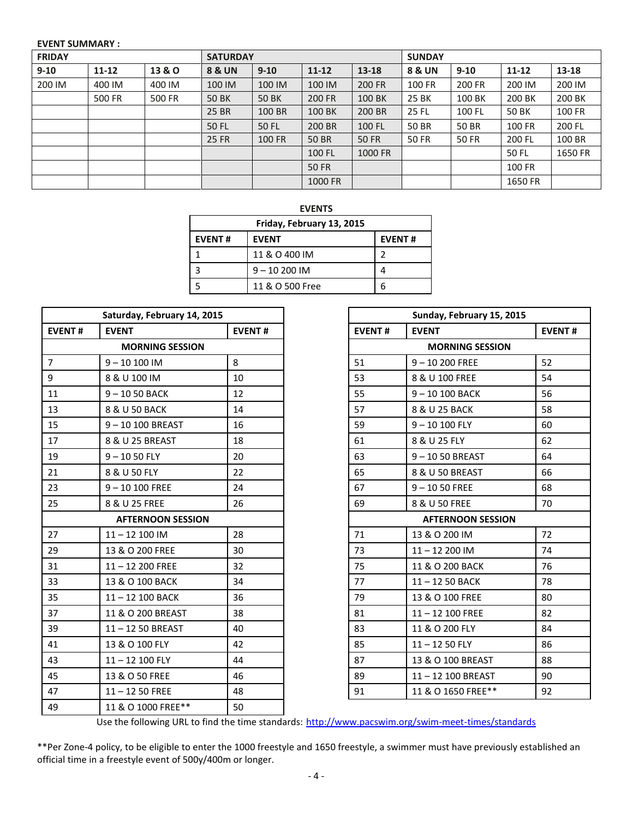## **EVENT SUMMARY :**

| <b>FRIDAY</b> |           | <b>SATURDAY</b> |                   |              | <b>SUNDAY</b> |              |        |              |               |           |
|---------------|-----------|-----------------|-------------------|--------------|---------------|--------------|--------|--------------|---------------|-----------|
| $9 - 10$      | $11 - 12$ | 13 & O          | <b>8 &amp; UN</b> | $9 - 10$     | $11 - 12$     | 13-18        | 8 & UN | $9 - 10$     | $11 - 12$     | $13 - 18$ |
| 200 IM        | 400 IM    | 400 IM          | 100 IM            | 100 IM       | 100 IM        | 200 FR       | 100 FR | 200 FR       | 200 IM        | 200 IM    |
|               | 500 FR    | 500 FR          | 50 BK             | <b>50 BK</b> | 200 FR        | 100 BK       | 25 BK  | 100 BK       | 200 BK        | 200 BK    |
|               |           |                 | 25 BR             | 100 BR       | 100 BK        | 200 BR       | 25 FL  | 100 FL       | 50 BK         | 100 FR    |
|               |           |                 | 50 FL             | 50 FL        | 200 BR        | 100 FL       | 50 BR  | 50 BR        | 100 FR        | 200 FL    |
|               |           |                 | 25 FR             | 100 FR       | <b>50 BR</b>  | <b>50 FR</b> | 50 FR  | <b>50 FR</b> | 200 FL        | 100 BR    |
|               |           |                 |                   |              | 100 FL        | 1000 FR      |        |              | 50 FL         | 1650 FR   |
|               |           |                 |                   |              | 50 FR         |              |        |              | <b>100 FR</b> |           |
|               |           |                 |                   |              | 1000 FR       |              |        |              | 1650 FR       |           |

| <b>EVENTS</b>             |                 |               |  |  |
|---------------------------|-----------------|---------------|--|--|
| Friday, February 13, 2015 |                 |               |  |  |
| <b>EVENT#</b>             | <b>EVENT</b>    | <b>EVENT#</b> |  |  |
|                           | 11 & O 400 IM   | 2             |  |  |
|                           | $9 - 10200$ IM  |               |  |  |
|                           | 11 & O 500 Free | 6             |  |  |

| <b>EVENT#</b><br><b>EVENT#</b><br><b>EVENT#</b><br><b>EVENT</b><br><b>MORNING SESSION</b><br>8<br>$\overline{7}$<br>$9 - 10100$ IM<br>51<br>$\boldsymbol{9}$<br>8 & U 100 IM<br>10<br>53<br>$9 - 1050$ BACK<br>12<br>55<br>11<br>13<br>8 & U 50 BACK<br>14<br>57<br>15<br>$9 - 10$ 100 BREAST<br>16<br>59<br>17<br>8 & U 25 BREAST<br>18<br>61<br>19<br>$9 - 1050$ FLY<br>20<br>63<br>65<br>21<br>8 & U 50 FLY<br>22<br>23<br>$9 - 10100$ FREE<br>24<br>67<br>25<br>8 & U 25 FREE<br>26<br>69<br><b>AFTERNOON SESSION</b><br>28<br>27<br>$11 - 12$ 100 IM<br>71<br>30<br>29<br>13 & O 200 FREE<br>73<br>31<br>32<br>75<br>$11 - 12200$ FREE<br>33<br>34<br>13 & O 100 BACK<br>77<br>36<br>35<br>11-12 100 BACK<br>79<br>37<br>11 & O 200 BREAST<br>38<br>81<br>39<br>83<br>11-12 50 BREAST<br>40<br>41<br>13 & O 100 FLY<br>42<br>85<br>43<br>11-12 100 FLY<br>44<br>87<br>45<br>13 & O 50 FREE<br>46<br>89<br>47<br>$11 - 1250$ FREE<br>48<br>91<br>49<br>11 & O 1000 FREE**<br>50 | Saturday, February 14, 2015 |  |  |
|-------------------------------------------------------------------------------------------------------------------------------------------------------------------------------------------------------------------------------------------------------------------------------------------------------------------------------------------------------------------------------------------------------------------------------------------------------------------------------------------------------------------------------------------------------------------------------------------------------------------------------------------------------------------------------------------------------------------------------------------------------------------------------------------------------------------------------------------------------------------------------------------------------------------------------------------------------------------------------------|-----------------------------|--|--|
|                                                                                                                                                                                                                                                                                                                                                                                                                                                                                                                                                                                                                                                                                                                                                                                                                                                                                                                                                                                     |                             |  |  |
|                                                                                                                                                                                                                                                                                                                                                                                                                                                                                                                                                                                                                                                                                                                                                                                                                                                                                                                                                                                     |                             |  |  |
|                                                                                                                                                                                                                                                                                                                                                                                                                                                                                                                                                                                                                                                                                                                                                                                                                                                                                                                                                                                     |                             |  |  |
|                                                                                                                                                                                                                                                                                                                                                                                                                                                                                                                                                                                                                                                                                                                                                                                                                                                                                                                                                                                     |                             |  |  |
|                                                                                                                                                                                                                                                                                                                                                                                                                                                                                                                                                                                                                                                                                                                                                                                                                                                                                                                                                                                     |                             |  |  |
|                                                                                                                                                                                                                                                                                                                                                                                                                                                                                                                                                                                                                                                                                                                                                                                                                                                                                                                                                                                     |                             |  |  |
|                                                                                                                                                                                                                                                                                                                                                                                                                                                                                                                                                                                                                                                                                                                                                                                                                                                                                                                                                                                     |                             |  |  |
|                                                                                                                                                                                                                                                                                                                                                                                                                                                                                                                                                                                                                                                                                                                                                                                                                                                                                                                                                                                     |                             |  |  |
|                                                                                                                                                                                                                                                                                                                                                                                                                                                                                                                                                                                                                                                                                                                                                                                                                                                                                                                                                                                     |                             |  |  |
|                                                                                                                                                                                                                                                                                                                                                                                                                                                                                                                                                                                                                                                                                                                                                                                                                                                                                                                                                                                     |                             |  |  |
|                                                                                                                                                                                                                                                                                                                                                                                                                                                                                                                                                                                                                                                                                                                                                                                                                                                                                                                                                                                     |                             |  |  |
|                                                                                                                                                                                                                                                                                                                                                                                                                                                                                                                                                                                                                                                                                                                                                                                                                                                                                                                                                                                     |                             |  |  |
|                                                                                                                                                                                                                                                                                                                                                                                                                                                                                                                                                                                                                                                                                                                                                                                                                                                                                                                                                                                     |                             |  |  |
|                                                                                                                                                                                                                                                                                                                                                                                                                                                                                                                                                                                                                                                                                                                                                                                                                                                                                                                                                                                     |                             |  |  |
|                                                                                                                                                                                                                                                                                                                                                                                                                                                                                                                                                                                                                                                                                                                                                                                                                                                                                                                                                                                     |                             |  |  |
|                                                                                                                                                                                                                                                                                                                                                                                                                                                                                                                                                                                                                                                                                                                                                                                                                                                                                                                                                                                     |                             |  |  |
|                                                                                                                                                                                                                                                                                                                                                                                                                                                                                                                                                                                                                                                                                                                                                                                                                                                                                                                                                                                     |                             |  |  |
|                                                                                                                                                                                                                                                                                                                                                                                                                                                                                                                                                                                                                                                                                                                                                                                                                                                                                                                                                                                     |                             |  |  |
|                                                                                                                                                                                                                                                                                                                                                                                                                                                                                                                                                                                                                                                                                                                                                                                                                                                                                                                                                                                     |                             |  |  |
|                                                                                                                                                                                                                                                                                                                                                                                                                                                                                                                                                                                                                                                                                                                                                                                                                                                                                                                                                                                     |                             |  |  |
|                                                                                                                                                                                                                                                                                                                                                                                                                                                                                                                                                                                                                                                                                                                                                                                                                                                                                                                                                                                     |                             |  |  |
|                                                                                                                                                                                                                                                                                                                                                                                                                                                                                                                                                                                                                                                                                                                                                                                                                                                                                                                                                                                     |                             |  |  |
|                                                                                                                                                                                                                                                                                                                                                                                                                                                                                                                                                                                                                                                                                                                                                                                                                                                                                                                                                                                     |                             |  |  |
|                                                                                                                                                                                                                                                                                                                                                                                                                                                                                                                                                                                                                                                                                                                                                                                                                                                                                                                                                                                     |                             |  |  |
|                                                                                                                                                                                                                                                                                                                                                                                                                                                                                                                                                                                                                                                                                                                                                                                                                                                                                                                                                                                     |                             |  |  |

| urday, February 14, 2015    |    |               | Sunday, February 15, 2015 |               |
|-----------------------------|----|---------------|---------------------------|---------------|
| <b>ENT</b><br><b>EVENT#</b> |    | <b>EVENT#</b> | <b>EVENT</b>              | <b>EVENT#</b> |
| <b>MORNING SESSION</b>      |    |               | <b>MORNING SESSION</b>    |               |
| - 10 100 IM                 | 8  | 51            | $9 - 10200$ FREE          | 52            |
| & U 100 IM                  | 10 | 53            | 8 & U 100 FREE            | 54            |
| - 10 50 BACK                | 12 | 55            | 9-10 100 BACK             | 56            |
| <b>&amp; U 50 BACK</b>      | 14 | 57            | 8 & U 25 BACK             | 58            |
| - 10 100 BREAST             | 16 | 59            | $9 - 10100$ FLY           | 60            |
| ኔ U 25 BREAST               | 18 | 61            | 8 & U 25 FLY              | 62            |
| - 10 50 FLY                 | 20 | 63            | $9 - 1050$ BREAST         | 64            |
| ኔ U 50 FLY                  | 22 | 65            | 8 & U 50 BREAST           | 66            |
| - 10 100 FREE               | 24 | 67            | $9 - 1050$ FREE           | 68            |
| & U 25 FREE                 | 26 | 69            | 8 & U 50 FREE             | 70            |
| <b>AFTERNOON SESSION</b>    |    |               | <b>AFTERNOON SESSION</b>  |               |
| $-12100$ IM                 | 28 | 71            | 13 & O 200 IM             | 72            |
| & O 200 FREE                | 30 | 73            | $11 - 12200$ IM           | 74            |
| $-12200$ FREE               | 32 | 75            | 11 & O 200 BACK           | 76            |
| & O 100 BACK                | 34 | 77            | 11-12 50 BACK             | 78            |
| $-12100$ BACK               | 36 | 79            | 13 & O 100 FREE           | 80            |
| & O 200 BREAST              | 38 | 81            | $11 - 12$ 100 FREE        | 82            |
| $-1250$ BREAST              | 40 | 83            | 11 & O 200 FLY            | 84            |
| & O 100 FLY                 | 42 | 85            | $11 - 1250$ FLY           | 86            |
| $-12$ 100 FLY               | 44 | 87            | 13 & O 100 BREAST         | 88            |
| & O 50 FREE                 | 46 | 89            | 11-12 100 BREAST          | 90            |
| $-1250$ FREE                | 48 | 91            | 11 & O 1650 FREE**        | 92            |

Use the following URL to find the time standards: <http://www.pacswim.org/swim-meet-times/standards>

\*\*Per Zone-4 policy, to be eligible to enter the 1000 freestyle and 1650 freestyle, a swimmer must have previously established an official time in a freestyle event of 500y/400m or longer.